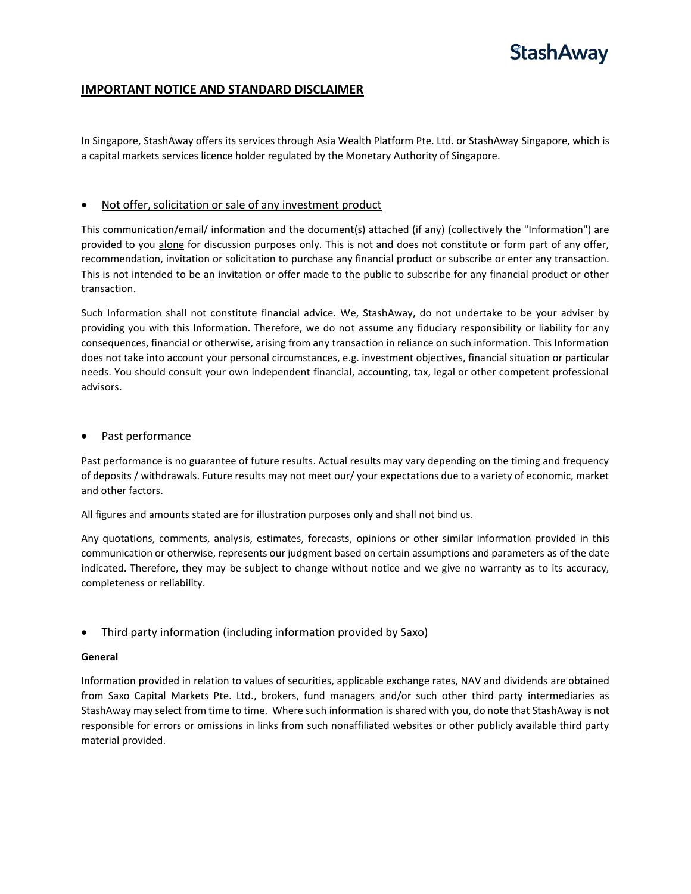# **StashAway**

# **IMPORTANT NOTICE AND STANDARD DISCLAIMER**

In Singapore, StashAway offers its services through Asia Wealth Platform Pte. Ltd. or StashAway Singapore, which is a capital markets services licence holder regulated by the Monetary Authority of Singapore.

## • Not offer, solicitation or sale of any investment product

This communication/email/ information and the document(s) attached (if any) (collectively the "Information") are provided to you alone for discussion purposes only. This is not and does not constitute or form part of any offer, recommendation, invitation or solicitation to purchase any financial product or subscribe or enter any transaction. This is not intended to be an invitation or offer made to the public to subscribe for any financial product or other transaction.

Such Information shall not constitute financial advice. We, StashAway, do not undertake to be your adviser by providing you with this Information. Therefore, we do not assume any fiduciary responsibility or liability for any consequences, financial or otherwise, arising from any transaction in reliance on such information. This Information does not take into account your personal circumstances, e.g. investment objectives, financial situation or particular needs. You should consult your own independent financial, accounting, tax, legal or other competent professional advisors.

### Past performance

Past performance is no guarantee of future results. Actual results may vary depending on the timing and frequency of deposits / withdrawals. Future results may not meet our/ your expectations due to a variety of economic, market and other factors.

All figures and amounts stated are for illustration purposes only and shall not bind us.

Any quotations, comments, analysis, estimates, forecasts, opinions or other similar information provided in this communication or otherwise, represents our judgment based on certain assumptions and parameters as of the date indicated. Therefore, they may be subject to change without notice and we give no warranty as to its accuracy, completeness or reliability.

# • Third party information (including information provided by Saxo)

### **General**

Information provided in relation to values of securities, applicable exchange rates, NAV and dividends are obtained from Saxo Capital Markets Pte. Ltd., brokers, fund managers and/or such other third party intermediaries as StashAway may select from time to time. Where such information is shared with you, do note that StashAway is not responsible for errors or omissions in links from such nonaffiliated websites or other publicly available third party material provided.